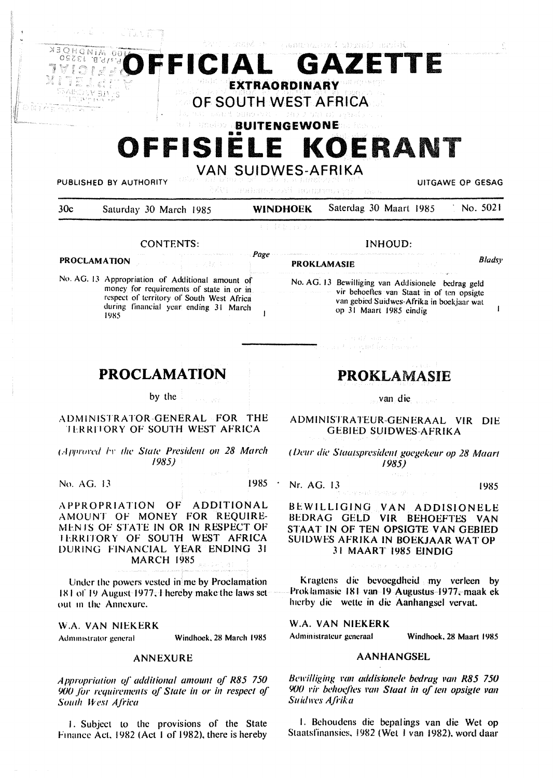

**PUBLISHED BY AUTHORITY Universed by Serial Authority** of the absence of the particle and the series of the series of the series of the series of the series of the series of the series of the series of the series of the

| 30c | Saturday 30 March 1985 | <b>WINDHOEK</b> | Saterdag 30 Maart 1985 | No. 5021 |
|-----|------------------------|-----------------|------------------------|----------|
|     |                        |                 |                        |          |

a Bristonia

Page

 $\overline{\phantom{a}}$ 

### CONTENTS:

### **PROCLAMATION**

No. AG. 13 Appropriation of Additional amount of money for requirements of state in or in respect of territory of South West Africa during financial year ending 31 March 1985

# **PROKLAMASIE** *Bladsy*

 $\mathbf{r}$ 

No. AG. 13 Bewilliging van Addisionele bedrag geld vir behoeftes van Staat in of ten opsigte van gebied Suidwes-Afrika in boekjaar wat op 31 Maart 1985 eindig

INHOUD:

enthomatic care

# **PROCLAMATION**

by the

## **ADMINISTRATOR-GENERAL FOR THE**  I **LRRIIORY OF SOUTH WEST AFRICA**

(.-lpJ,r111·<·tl h- *the Stale President* 011 *28 March /985)* 

No. AG. 13 1985

 $\sim$ 

APPROPRIATION OF ADDITIONAL AMOUNT OF MONEY FOR REQUIRE-MENTS OF STATE IN OR IN RESPECT OF **IERRITORY OF SOUTH WEST AFRICA** DURING FINANCIAL YEAR ENDING 31 MARCH 1985

Under the powers vested in me by Proclamation IX I or 19 August 1977.1 hereby make the laws set out in the Annexure.

\\i.A. VAN NIEKERK

Administrator general Windhoek, 28 March 1985

### ANNEXURE

*Appropriation of additional amount of R85 750* 900 for *requirements* of State in or in respect of South *West Africa* 

1. Subject to the provisions of the State Finance Act, 1982 (Act 1 of 1982), there is hereby

# PROKLAMASIE

van die

ADMINISTRATEUR-GENERAAL VIR DIE GEBIED SUIDWES-AFRIKA

*( IJ<'ur die Staatspresident goegekeur op 28 Maart /985)* 

Nr. AG. 13 1985

Bt:WILLIGING VAN ADDISIONELE BEDRAG GELD VIR BEHOEFTES VAN **STAAT IN OF TEN OPSIGTE VAN GEBIED** SUIIJWES **AFRIKA IN BOEKJAAR WAT OP**  31 **MAART** 1985 **EINDIG** 

Kragtens die bevoegdheid my verleen by Prok la masie 181 van 19 Augustus 1977. maak ek hierby die wette in die Aanhangsel vervat.

W.A. VAN **NIEKERK** 

Administrateur generaal Windhoek, 28 Maart 1985

### **AANHANGSEL**

Bewilliging van addisionele bedrag van R85 750 (j(J() *1·ir behoejtes* l'an *Staal i11 of* 1e11 *opsigte* van *Suidll'es Aji·ika* 

I. Bchoudcns die bepalings van die Wet op Staalsfinansics. 1982 (Wcl l van 1982). word daar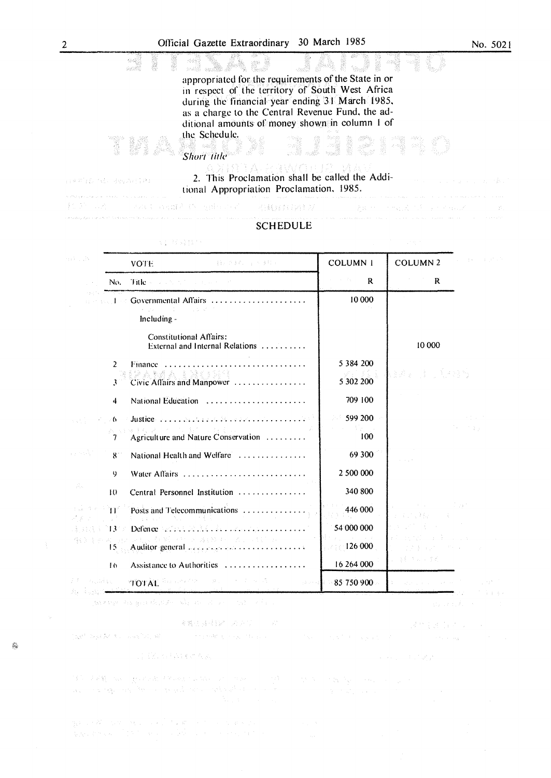appropriated for the requirements of the State in or in respect of the territory of South West Africa during the financial year ending 31 March 1985, as a charge to the Central Revenue Fund, the additional amounts of money shown in column 1 of the Schedule. 

2. This Proclamation shall be called the Additional Appropriation Proclamation, 1985.

.<br>A tarkey kyri i se od 19. stoletih ta stoletih svoje v skoleti i v namno velikovi se v razvedila stoletih svoj

OWNER HE PROVIDE

 $\label{eq:2.1} \mathcal{H}^{(1)}(\mathcal{H}^{(2)}(\mathcal{A}^{(2)}(\mathcal{A}^{(2)}(\mathcal{A}^{(2)}(\mathcal{A}^{(2)}(\mathcal{A}^{(2)}(\mathcal{A}^{(2)}(\mathcal{A}^{(2)}(\mathcal{A}^{(2)}(\mathcal{A}^{(2)}(\mathcal{A}^{(2)}(\mathcal{A}^{(2)}(\mathcal{A}^{(2)}(\mathcal{A}^{(2)}(\mathcal{A}^{(2)}(\mathcal{A}^{(2)}(\mathcal{A}^{(2)}(\mathcal{A}^{(2)}(\mathcal{A}^{(2)}(\mathcal{A}^{(2)}(\$ 

### **SCHEDULE**

**RHOBOTHIN** 

| 955.38                                                     |             | (1999) 在法院 (1998) 医鼓风<br>VOTE:                                                 | <b>COLUMN 1</b>                       | 医心脏病 医单位<br><b>COLUMN 2</b>                              |
|------------------------------------------------------------|-------------|--------------------------------------------------------------------------------|---------------------------------------|----------------------------------------------------------|
|                                                            | No.         | Title services to the department                                               | $\alpha = 1, \alpha = 1, \alpha$<br>R | R                                                        |
|                                                            |             | Get July Governmental Affairs<br>ストルー アーカード しょうが<br>Including -                | 10 000                                |                                                          |
|                                                            |             | <b>Constitutional Affairs:</b><br>External and Internal Relations              |                                       | 10 000                                                   |
|                                                            | 2           | Finance<br>Civic Affairs and Manpower                                          | 5 3 8 4 2 0 0<br>5 302 200            | 3.8% (1) (1985)                                          |
|                                                            | 4           | National Education                                                             | 709 100                               |                                                          |
| 医肠突出                                                       |             | 视频器特别者 不可分解的 电电阻器<br>Agriculture and Nature Conservation                       | 599 200<br>94<br>100                  | and the project<br>$\mathcal{N} \rightarrow \mathcal{N}$ |
| a portales.                                                | $8^{\circ}$ | National Health and Welfare                                                    | 69 300                                |                                                          |
|                                                            | 9           | Water Affairs                                                                  | 2 500 000                             |                                                          |
| Ŵ.                                                         | 10          | Central Personnel Institution                                                  | 340 800                               |                                                          |
| $\{\gamma_{\rm s},\gamma_{\rm d},\gamma_{\rm s}\}$<br>そんせい |             | Posts and Telecommunications<br>电子电压 经公司 医上皮 计语言系统                             | 446 000                               | Contractor Contractor<br>的复数 医脑下垂                        |
| a da 13 s                                                  |             | Defence With M.M. C. Bernstein                                                 | 54 000 000                            | つい アクリモード                                                |
|                                                            | 15.         | 40 年光绪 田川河北、新聞 30 米属(NRA) 81 (31) 81<br>Auditor general management communities | Contractor of the<br>126 000          | 医牙根 化乙基苯甲基 医心包<br>(1994年) 2010年4月 1日                     |
|                                                            | 16          | Assistance to Authorities                                                      | 16 264 000                            | 5号 医元二寸光。                                                |
| in Kastal Car                                              |             | <b>TOTAL</b> Surveyor and the search<br>State (s)                              | 85 750 900                            | and a strategic control.<br>$1 - 1 - 6$                  |

## (大学)特异性())

Short title

parage to go thousand the service of the

※選出時収録 ステリートの

and the state of the second state of the state of the state of the second the second state of the second state of the second state of the second state of the second state of the second state of the second state of the seco

## E RESPAIR AR

 $\label{eq:2.1} \begin{split} &\frac{1}{2}\sum_{i=1}^{2}\frac{1}{2}\sum_{j=1}^{2}\sum_{j=1}^{2}\frac{1}{2} \left(\frac{1}{2}\sum_{j=1}^{2}\sum_{j=1}^{2}\sum_{j=1}^{2}\sum_{j=1}^{2}\sum_{j=1}^{2}\sum_{j=1}^{2}\sum_{j=1}^{2}\sum_{j=1}^{2}\sum_{j=1}^{2}\sum_{j=1}^{2}\sum_{j=1}^{2}\sum_{j=1}^{2}\sum_{j=1}^{2}\sum_{j=1}^{2}\sum_{j=1}^{2}\sum_{j=1}^{2}\sum_{j=1}$ 

go 1980 to the second to make the most